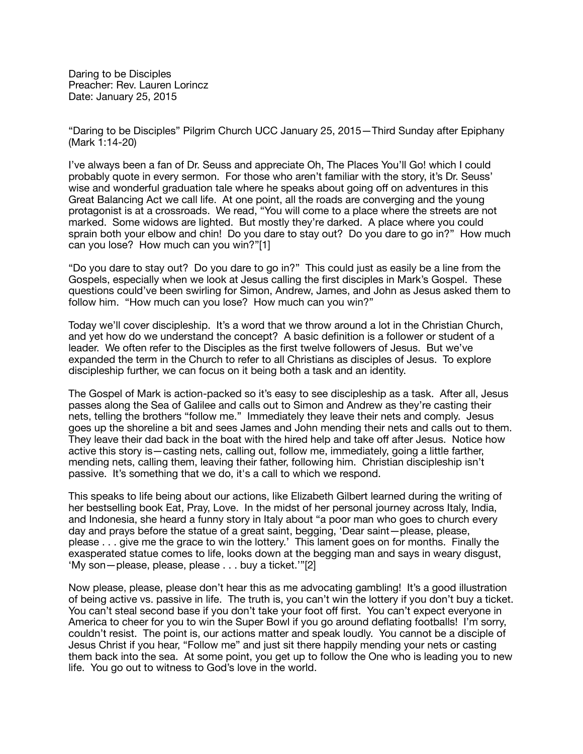Daring to be Disciples Preacher: Rev. Lauren Lorincz Date: January 25, 2015

"Daring to be Disciples" Pilgrim Church UCC January 25, 2015—Third Sunday after Epiphany (Mark 1:14-20)

I've always been a fan of Dr. Seuss and appreciate Oh, The Places You'll Go! which I could probably quote in every sermon. For those who aren't familiar with the story, it's Dr. Seuss' wise and wonderful graduation tale where he speaks about going off on adventures in this Great Balancing Act we call life. At one point, all the roads are converging and the young protagonist is at a crossroads. We read, "You will come to a place where the streets are not marked. Some widows are lighted. But mostly they're darked. A place where you could sprain both your elbow and chin! Do you dare to stay out? Do you dare to go in?" How much can you lose? How much can you win?"[1]

"Do you dare to stay out? Do you dare to go in?" This could just as easily be a line from the Gospels, especially when we look at Jesus calling the first disciples in Mark's Gospel. These questions could've been swirling for Simon, Andrew, James, and John as Jesus asked them to follow him. "How much can you lose? How much can you win?"

Today we'll cover discipleship. It's a word that we throw around a lot in the Christian Church, and yet how do we understand the concept? A basic definition is a follower or student of a leader. We often refer to the Disciples as the first twelve followers of Jesus. But we've expanded the term in the Church to refer to all Christians as disciples of Jesus. To explore discipleship further, we can focus on it being both a task and an identity.

The Gospel of Mark is action-packed so it's easy to see discipleship as a task. After all, Jesus passes along the Sea of Galilee and calls out to Simon and Andrew as they're casting their nets, telling the brothers "follow me." Immediately they leave their nets and comply. Jesus goes up the shoreline a bit and sees James and John mending their nets and calls out to them. They leave their dad back in the boat with the hired help and take off after Jesus. Notice how active this story is—casting nets, calling out, follow me, immediately, going a little farther, mending nets, calling them, leaving their father, following him. Christian discipleship isn't passive. It's something that we do, it's a call to which we respond.

This speaks to life being about our actions, like Elizabeth Gilbert learned during the writing of her bestselling book Eat, Pray, Love. In the midst of her personal journey across Italy, India, and Indonesia, she heard a funny story in Italy about "a poor man who goes to church every day and prays before the statue of a great saint, begging, 'Dear saint—please, please, please . . . give me the grace to win the lottery.' This lament goes on for months. Finally the exasperated statue comes to life, looks down at the begging man and says in weary disgust, 'My son—please, please, please . . . buy a ticket.'"[2]

Now please, please, please don't hear this as me advocating gambling! It's a good illustration of being active vs. passive in life. The truth is, you can't win the lottery if you don't buy a ticket. You can't steal second base if you don't take your foot off first. You can't expect everyone in America to cheer for you to win the Super Bowl if you go around deflating footballs! I'm sorry, couldn't resist. The point is, our actions matter and speak loudly. You cannot be a disciple of Jesus Christ if you hear, "Follow me" and just sit there happily mending your nets or casting them back into the sea. At some point, you get up to follow the One who is leading you to new life. You go out to witness to God's love in the world.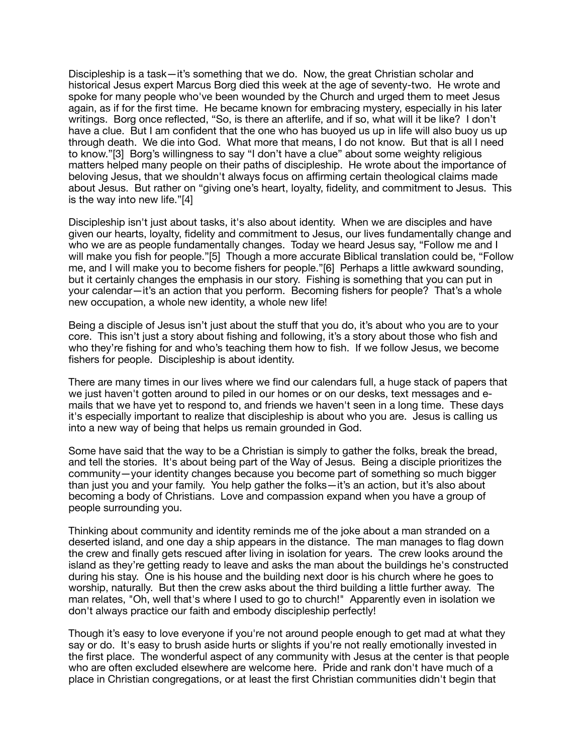Discipleship is a task—it's something that we do. Now, the great Christian scholar and historical Jesus expert Marcus Borg died this week at the age of seventy-two. He wrote and spoke for many people who've been wounded by the Church and urged them to meet Jesus again, as if for the first time. He became known for embracing mystery, especially in his later writings. Borg once reflected, "So, is there an afterlife, and if so, what will it be like? I don't have a clue. But I am confident that the one who has buoyed us up in life will also buoy us up through death. We die into God. What more that means, I do not know. But that is all I need to know."[3] Borg's willingness to say "I don't have a clue" about some weighty religious matters helped many people on their paths of discipleship. He wrote about the importance of beloving Jesus, that we shouldn't always focus on affirming certain theological claims made about Jesus. But rather on "giving one's heart, loyalty, fidelity, and commitment to Jesus. This is the way into new life."[4]

Discipleship isn't just about tasks, it's also about identity. When we are disciples and have given our hearts, loyalty, fidelity and commitment to Jesus, our lives fundamentally change and who we are as people fundamentally changes. Today we heard Jesus say, "Follow me and I will make you fish for people."[5] Though a more accurate Biblical translation could be, "Follow me, and I will make you to become fishers for people."[6] Perhaps a little awkward sounding, but it certainly changes the emphasis in our story. Fishing is something that you can put in your calendar—it's an action that you perform. Becoming fishers for people? That's a whole new occupation, a whole new identity, a whole new life!

Being a disciple of Jesus isn't just about the stuff that you do, it's about who you are to your core. This isn't just a story about fishing and following, it's a story about those who fish and who they're fishing for and who's teaching them how to fish. If we follow Jesus, we become fishers for people. Discipleship is about identity.

There are many times in our lives where we find our calendars full, a huge stack of papers that we just haven't gotten around to piled in our homes or on our desks, text messages and emails that we have yet to respond to, and friends we haven't seen in a long time. These days it's especially important to realize that discipleship is about who you are. Jesus is calling us into a new way of being that helps us remain grounded in God.

Some have said that the way to be a Christian is simply to gather the folks, break the bread, and tell the stories. It's about being part of the Way of Jesus. Being a disciple prioritizes the community—your identity changes because you become part of something so much bigger than just you and your family. You help gather the folks—it's an action, but it's also about becoming a body of Christians. Love and compassion expand when you have a group of people surrounding you.

Thinking about community and identity reminds me of the joke about a man stranded on a deserted island, and one day a ship appears in the distance. The man manages to flag down the crew and finally gets rescued after living in isolation for years. The crew looks around the island as they're getting ready to leave and asks the man about the buildings he's constructed during his stay. One is his house and the building next door is his church where he goes to worship, naturally. But then the crew asks about the third building a little further away. The man relates, "Oh, well that's where I used to go to church!" Apparently even in isolation we don't always practice our faith and embody discipleship perfectly!

Though it's easy to love everyone if you're not around people enough to get mad at what they say or do. It's easy to brush aside hurts or slights if you're not really emotionally invested in the first place. The wonderful aspect of any community with Jesus at the center is that people who are often excluded elsewhere are welcome here. Pride and rank don't have much of a place in Christian congregations, or at least the first Christian communities didn't begin that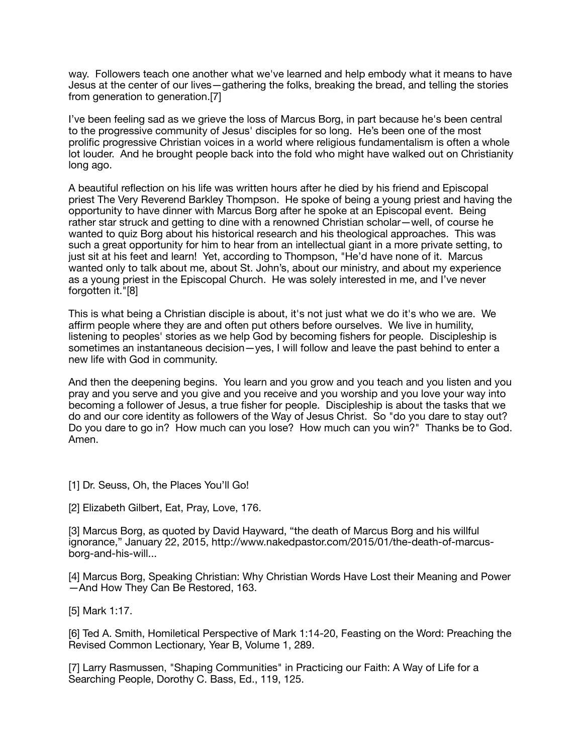way. Followers teach one another what we've learned and help embody what it means to have Jesus at the center of our lives—gathering the folks, breaking the bread, and telling the stories from generation to generation.[7]

I've been feeling sad as we grieve the loss of Marcus Borg, in part because he's been central to the progressive community of Jesus' disciples for so long. He's been one of the most prolific progressive Christian voices in a world where religious fundamentalism is often a whole lot louder. And he brought people back into the fold who might have walked out on Christianity long ago.

A beautiful reflection on his life was written hours after he died by his friend and Episcopal priest The Very Reverend Barkley Thompson. He spoke of being a young priest and having the opportunity to have dinner with Marcus Borg after he spoke at an Episcopal event. Being rather star struck and getting to dine with a renowned Christian scholar—well, of course he wanted to quiz Borg about his historical research and his theological approaches. This was such a great opportunity for him to hear from an intellectual giant in a more private setting, to just sit at his feet and learn! Yet, according to Thompson, "He'd have none of it. Marcus wanted only to talk about me, about St. John's, about our ministry, and about my experience as a young priest in the Episcopal Church. He was solely interested in me, and I've never forgotten it."[8]

This is what being a Christian disciple is about, it's not just what we do it's who we are. We affirm people where they are and often put others before ourselves. We live in humility, listening to peoples' stories as we help God by becoming fishers for people. Discipleship is sometimes an instantaneous decision—yes, I will follow and leave the past behind to enter a new life with God in community.

And then the deepening begins. You learn and you grow and you teach and you listen and you pray and you serve and you give and you receive and you worship and you love your way into becoming a follower of Jesus, a true fisher for people. Discipleship is about the tasks that we do and our core identity as followers of the Way of Jesus Christ. So "do you dare to stay out? Do you dare to go in? How much can you lose? How much can you win?" Thanks be to God. Amen.

- [1] Dr. Seuss, Oh, the Places You'll Go!
- [2] Elizabeth Gilbert, Eat, Pray, Love, 176.

[3] Marcus Borg, as quoted by David Hayward, "the death of Marcus Borg and his willful ignorance," January 22, 2015, http://www.nakedpastor.com/2015/01/the-death-of-marcusborg-and-his-will...

[4] Marcus Borg, Speaking Christian: Why Christian Words Have Lost their Meaning and Power —And How They Can Be Restored, 163.

[5] Mark 1:17.

[6] Ted A. Smith, Homiletical Perspective of Mark 1:14-20, Feasting on the Word: Preaching the Revised Common Lectionary, Year B, Volume 1, 289.

[7] Larry Rasmussen, "Shaping Communities" in Practicing our Faith: A Way of Life for a Searching People, Dorothy C. Bass, Ed., 119, 125.